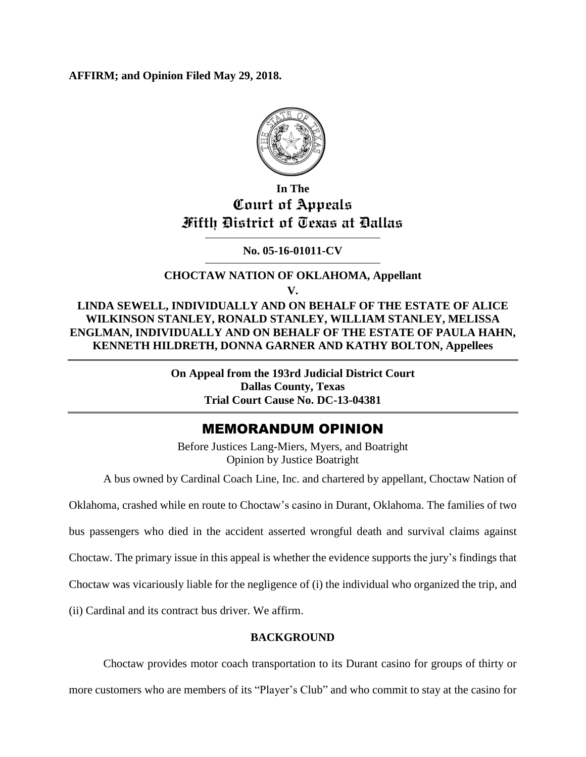**AFFIRM; and Opinion Filed May 29, 2018.**



# **In The Court of Appeals Fifth District of Texas at Dallas**

**No. 05-16-01011-CV**

## **CHOCTAW NATION OF OKLAHOMA, Appellant V.**

**LINDA SEWELL, INDIVIDUALLY AND ON BEHALF OF THE ESTATE OF ALICE WILKINSON STANLEY, RONALD STANLEY, WILLIAM STANLEY, MELISSA ENGLMAN, INDIVIDUALLY AND ON BEHALF OF THE ESTATE OF PAULA HAHN, KENNETH HILDRETH, DONNA GARNER AND KATHY BOLTON, Appellees**

> **On Appeal from the 193rd Judicial District Court Dallas County, Texas Trial Court Cause No. DC-13-04381**

## MEMORANDUM OPINION

Before Justices Lang-Miers, Myers, and Boatright Opinion by Justice Boatright

A bus owned by Cardinal Coach Line, Inc. and chartered by appellant, Choctaw Nation of

Oklahoma, crashed while en route to Choctaw's casino in Durant, Oklahoma. The families of two

bus passengers who died in the accident asserted wrongful death and survival claims against

Choctaw. The primary issue in this appeal is whether the evidence supports the jury's findings that

Choctaw was vicariously liable for the negligence of (i) the individual who organized the trip, and

(ii) Cardinal and its contract bus driver. We affirm.

## **BACKGROUND**

Choctaw provides motor coach transportation to its Durant casino for groups of thirty or more customers who are members of its "Player's Club" and who commit to stay at the casino for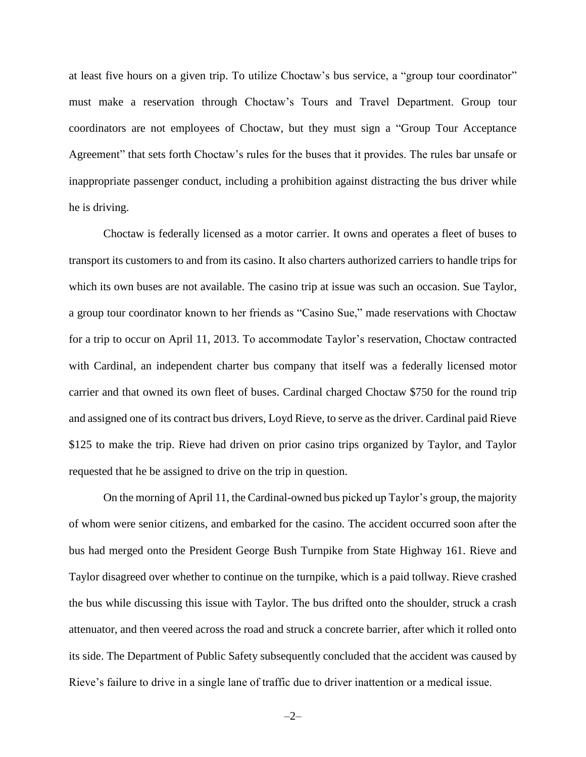at least five hours on a given trip. To utilize Choctaw's bus service, a "group tour coordinator" must make a reservation through Choctaw's Tours and Travel Department. Group tour coordinators are not employees of Choctaw, but they must sign a "Group Tour Acceptance Agreement" that sets forth Choctaw's rules for the buses that it provides. The rules bar unsafe or inappropriate passenger conduct, including a prohibition against distracting the bus driver while he is driving.

Choctaw is federally licensed as a motor carrier. It owns and operates a fleet of buses to transport its customers to and from its casino. It also charters authorized carriers to handle trips for which its own buses are not available. The casino trip at issue was such an occasion. Sue Taylor, a group tour coordinator known to her friends as "Casino Sue," made reservations with Choctaw for a trip to occur on April 11, 2013. To accommodate Taylor's reservation, Choctaw contracted with Cardinal, an independent charter bus company that itself was a federally licensed motor carrier and that owned its own fleet of buses. Cardinal charged Choctaw \$750 for the round trip and assigned one of its contract bus drivers, Loyd Rieve, to serve as the driver. Cardinal paid Rieve \$125 to make the trip. Rieve had driven on prior casino trips organized by Taylor, and Taylor requested that he be assigned to drive on the trip in question.

On the morning of April 11, the Cardinal-owned bus picked up Taylor's group, the majority of whom were senior citizens, and embarked for the casino. The accident occurred soon after the bus had merged onto the President George Bush Turnpike from State Highway 161. Rieve and Taylor disagreed over whether to continue on the turnpike, which is a paid tollway. Rieve crashed the bus while discussing this issue with Taylor. The bus drifted onto the shoulder, struck a crash attenuator, and then veered across the road and struck a concrete barrier, after which it rolled onto its side. The Department of Public Safety subsequently concluded that the accident was caused by Rieve's failure to drive in a single lane of traffic due to driver inattention or a medical issue.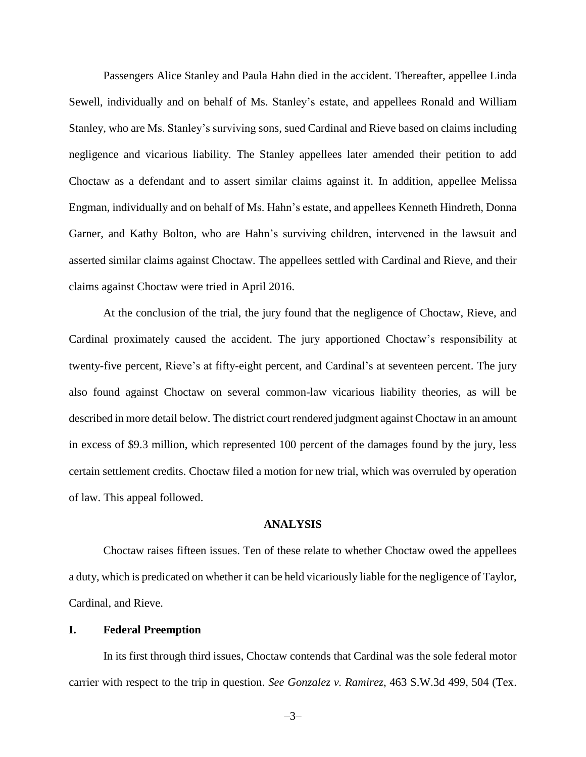Passengers Alice Stanley and Paula Hahn died in the accident. Thereafter, appellee Linda Sewell, individually and on behalf of Ms. Stanley's estate, and appellees Ronald and William Stanley, who are Ms. Stanley's surviving sons, sued Cardinal and Rieve based on claims including negligence and vicarious liability. The Stanley appellees later amended their petition to add Choctaw as a defendant and to assert similar claims against it. In addition, appellee Melissa Engman, individually and on behalf of Ms. Hahn's estate, and appellees Kenneth Hindreth, Donna Garner, and Kathy Bolton, who are Hahn's surviving children, intervened in the lawsuit and asserted similar claims against Choctaw. The appellees settled with Cardinal and Rieve, and their claims against Choctaw were tried in April 2016.

At the conclusion of the trial, the jury found that the negligence of Choctaw, Rieve, and Cardinal proximately caused the accident. The jury apportioned Choctaw's responsibility at twenty-five percent, Rieve's at fifty-eight percent, and Cardinal's at seventeen percent. The jury also found against Choctaw on several common-law vicarious liability theories, as will be described in more detail below. The district court rendered judgment against Choctaw in an amount in excess of \$9.3 million, which represented 100 percent of the damages found by the jury, less certain settlement credits. Choctaw filed a motion for new trial, which was overruled by operation of law. This appeal followed.

#### **ANALYSIS**

Choctaw raises fifteen issues. Ten of these relate to whether Choctaw owed the appellees a duty, which is predicated on whether it can be held vicariously liable for the negligence of Taylor, Cardinal, and Rieve.

#### **I. Federal Preemption**

In its first through third issues, Choctaw contends that Cardinal was the sole federal motor carrier with respect to the trip in question. *See Gonzalez v. Ramirez*, 463 S.W.3d 499, 504 (Tex.

–3–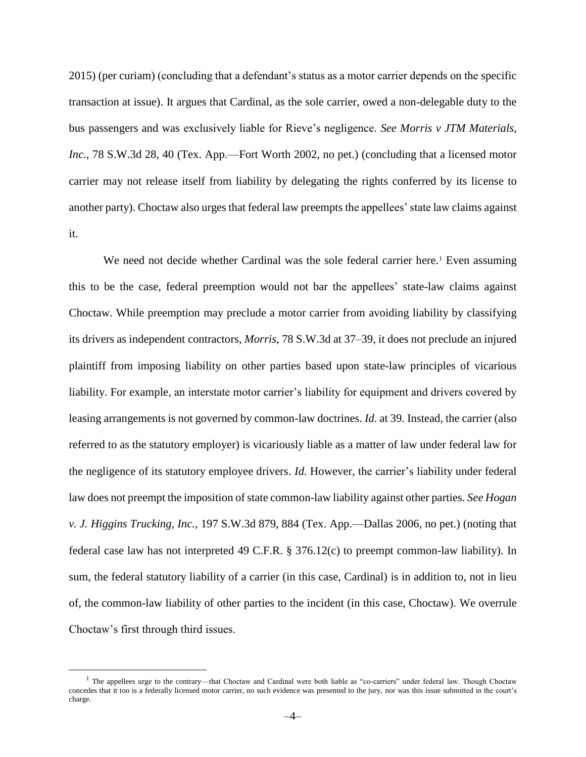2015) (per curiam) (concluding that a defendant's status as a motor carrier depends on the specific transaction at issue). It argues that Cardinal, as the sole carrier, owed a non-delegable duty to the bus passengers and was exclusively liable for Rieve's negligence. *See Morris v JTM Materials,*  Inc., 78 S.W.3d 28, 40 (Tex. App.—Fort Worth 2002, no pet.) (concluding that a licensed motor carrier may not release itself from liability by delegating the rights conferred by its license to another party). Choctaw also urges that federal law preempts the appellees' state law claims against it.

We need not decide whether Cardinal was the sole federal carrier here.<sup>1</sup> Even assuming this to be the case, federal preemption would not bar the appellees' state-law claims against Choctaw. While preemption may preclude a motor carrier from avoiding liability by classifying its drivers as independent contractors, *Morris*, 78 S.W.3d at 37–39, it does not preclude an injured plaintiff from imposing liability on other parties based upon state-law principles of vicarious liability. For example, an interstate motor carrier's liability for equipment and drivers covered by leasing arrangements is not governed by common-law doctrines. *Id.* at 39. Instead, the carrier (also referred to as the statutory employer) is vicariously liable as a matter of law under federal law for the negligence of its statutory employee drivers. *Id.* However, the carrier's liability under federal law does not preempt the imposition of state common-law liability against other parties. *See Hogan v. J. Higgins Trucking, Inc.*, 197 S.W.3d 879, 884 (Tex. App.—Dallas 2006, no pet.) (noting that federal case law has not interpreted 49 C.F.R. § 376.12(c) to preempt common-law liability). In sum, the federal statutory liability of a carrier (in this case, Cardinal) is in addition to, not in lieu of, the common-law liability of other parties to the incident (in this case, Choctaw). We overrule Choctaw's first through third issues.

 $\overline{a}$ 

<sup>&</sup>lt;sup>1</sup> The appellees urge to the contrary—that Choctaw and Cardinal were both liable as "co-carriers" under federal law. Though Choctaw concedes that it too is a federally licensed motor carrier, no such evidence was presented to the jury, nor was this issue submitted in the court's charge.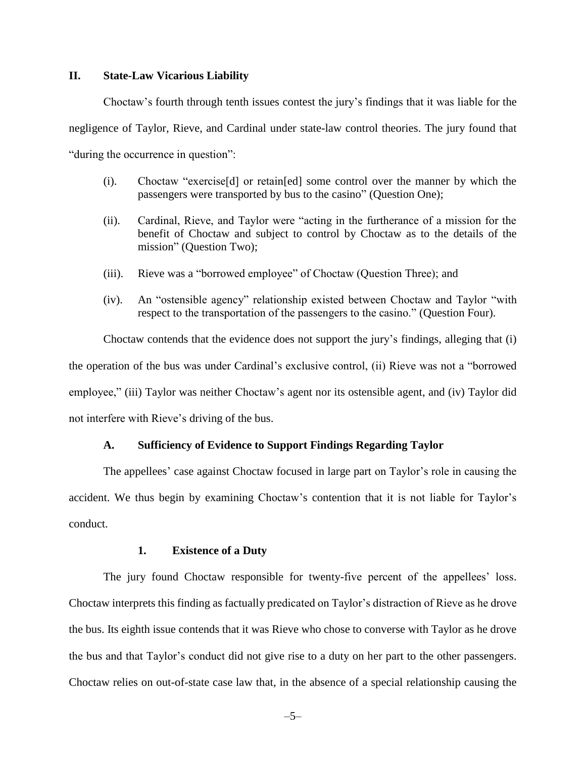#### **II. State-Law Vicarious Liability**

Choctaw's fourth through tenth issues contest the jury's findings that it was liable for the negligence of Taylor, Rieve, and Cardinal under state-law control theories. The jury found that "during the occurrence in question":

- (i). Choctaw "exercise[d] or retain[ed] some control over the manner by which the passengers were transported by bus to the casino" (Question One);
- (ii). Cardinal, Rieve, and Taylor were "acting in the furtherance of a mission for the benefit of Choctaw and subject to control by Choctaw as to the details of the mission" (Question Two);
- (iii). Rieve was a "borrowed employee" of Choctaw (Question Three); and
- (iv). An "ostensible agency" relationship existed between Choctaw and Taylor "with respect to the transportation of the passengers to the casino." (Question Four).

Choctaw contends that the evidence does not support the jury's findings, alleging that (i) the operation of the bus was under Cardinal's exclusive control, (ii) Rieve was not a "borrowed employee," (iii) Taylor was neither Choctaw's agent nor its ostensible agent, and (iv) Taylor did not interfere with Rieve's driving of the bus.

#### **A. Sufficiency of Evidence to Support Findings Regarding Taylor**

The appellees' case against Choctaw focused in large part on Taylor's role in causing the accident. We thus begin by examining Choctaw's contention that it is not liable for Taylor's conduct.

#### **1. Existence of a Duty**

The jury found Choctaw responsible for twenty-five percent of the appellees' loss. Choctaw interprets this finding as factually predicated on Taylor's distraction of Rieve as he drove the bus. Its eighth issue contends that it was Rieve who chose to converse with Taylor as he drove the bus and that Taylor's conduct did not give rise to a duty on her part to the other passengers. Choctaw relies on out-of-state case law that, in the absence of a special relationship causing the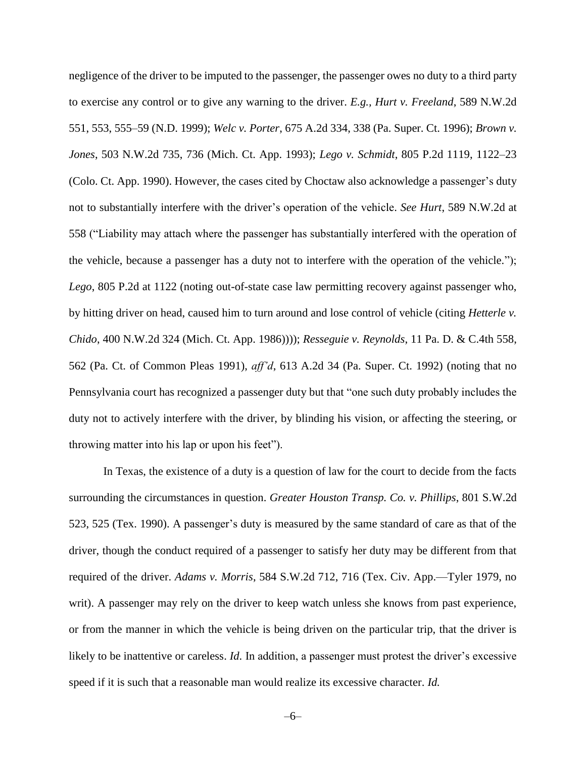negligence of the driver to be imputed to the passenger, the passenger owes no duty to a third party to exercise any control or to give any warning to the driver. *E.g., Hurt v. Freeland*, 589 N.W.2d 551, 553, 555–59 (N.D. 1999); *Welc v. Porter*, 675 A.2d 334, 338 (Pa. Super. Ct. 1996); *Brown v. Jones*, 503 N.W.2d 735, 736 (Mich. Ct. App. 1993); *Lego v. Schmidt*, 805 P.2d 1119, 1122–23 (Colo. Ct. App. 1990). However, the cases cited by Choctaw also acknowledge a passenger's duty not to substantially interfere with the driver's operation of the vehicle. *See Hurt*, 589 N.W.2d at 558 ("Liability may attach where the passenger has substantially interfered with the operation of the vehicle, because a passenger has a duty not to interfere with the operation of the vehicle."); *Lego*, 805 P.2d at 1122 (noting out-of-state case law permitting recovery against passenger who, by hitting driver on head, caused him to turn around and lose control of vehicle (citing *Hetterle v. Chido*, 400 N.W.2d 324 (Mich. Ct. App. 1986)))); *Resseguie v. Reynolds*, 11 Pa. D. & C.4th 558, 562 (Pa. Ct. of Common Pleas 1991), *aff'd*, 613 A.2d 34 (Pa. Super. Ct. 1992) (noting that no Pennsylvania court has recognized a passenger duty but that "one such duty probably includes the duty not to actively interfere with the driver, by blinding his vision, or affecting the steering, or throwing matter into his lap or upon his feet").

In Texas, the existence of a duty is a question of law for the court to decide from the facts surrounding the circumstances in question. *Greater Houston Transp. Co. v. Phillips*, 801 S.W.2d 523, 525 (Tex. 1990). A passenger's duty is measured by the same standard of care as that of the driver, though the conduct required of a passenger to satisfy her duty may be different from that required of the driver. *Adams v. Morris*, 584 S.W.2d 712, 716 (Tex. Civ. App.—Tyler 1979, no writ). A passenger may rely on the driver to keep watch unless she knows from past experience, or from the manner in which the vehicle is being driven on the particular trip, that the driver is likely to be inattentive or careless. *Id*. In addition, a passenger must protest the driver's excessive speed if it is such that a reasonable man would realize its excessive character. *Id.*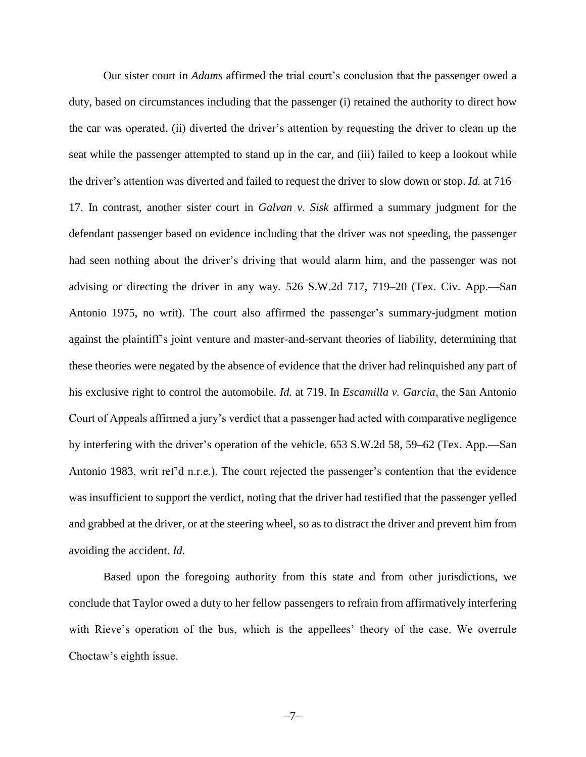Our sister court in *Adams* affirmed the trial court's conclusion that the passenger owed a duty, based on circumstances including that the passenger (i) retained the authority to direct how the car was operated, (ii) diverted the driver's attention by requesting the driver to clean up the seat while the passenger attempted to stand up in the car, and (iii) failed to keep a lookout while the driver's attention was diverted and failed to request the driver to slow down or stop. *Id.* at 716– 17. In contrast, another sister court in *Galvan v. Sisk* affirmed a summary judgment for the defendant passenger based on evidence including that the driver was not speeding, the passenger had seen nothing about the driver's driving that would alarm him, and the passenger was not advising or directing the driver in any way. 526 S.W.2d 717, 719–20 (Tex. Civ. App.—San Antonio 1975, no writ). The court also affirmed the passenger's summary-judgment motion against the plaintiff's joint venture and master-and-servant theories of liability, determining that these theories were negated by the absence of evidence that the driver had relinquished any part of his exclusive right to control the automobile. *Id.* at 719. In *Escamilla v. Garcia*, the San Antonio Court of Appeals affirmed a jury's verdict that a passenger had acted with comparative negligence by interfering with the driver's operation of the vehicle. 653 S.W.2d 58, 59–62 (Tex. App.—San Antonio 1983, writ ref'd n.r.e.). The court rejected the passenger's contention that the evidence was insufficient to support the verdict, noting that the driver had testified that the passenger yelled and grabbed at the driver, or at the steering wheel, so as to distract the driver and prevent him from avoiding the accident. *Id.*

Based upon the foregoing authority from this state and from other jurisdictions, we conclude that Taylor owed a duty to her fellow passengers to refrain from affirmatively interfering with Rieve's operation of the bus, which is the appellees' theory of the case. We overrule Choctaw's eighth issue.

–7–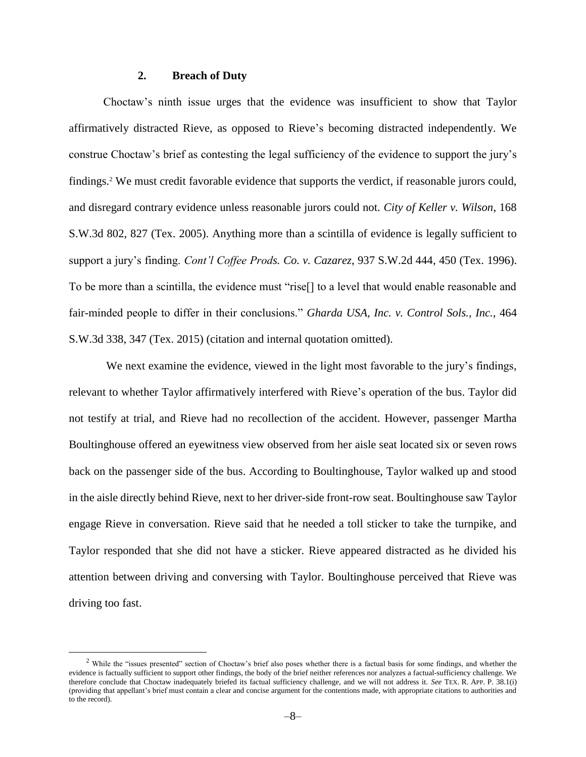#### **2. Breach of Duty**

Choctaw's ninth issue urges that the evidence was insufficient to show that Taylor affirmatively distracted Rieve, as opposed to Rieve's becoming distracted independently. We construe Choctaw's brief as contesting the legal sufficiency of the evidence to support the jury's findings.<sup>2</sup> We must credit favorable evidence that supports the verdict, if reasonable jurors could, and disregard contrary evidence unless reasonable jurors could not. *City of Keller v. Wilson*, 168 S.W.3d 802, 827 (Tex. 2005). Anything more than a scintilla of evidence is legally sufficient to support a jury's finding. *Cont'l Coffee Prods. Co. v. Cazarez*, 937 S.W.2d 444, 450 (Tex. 1996). To be more than a scintilla, the evidence must "rise[] to a level that would enable reasonable and fair-minded people to differ in their conclusions." *Gharda USA, Inc. v. Control Sols., Inc.*, 464 S.W.3d 338, 347 (Tex. 2015) (citation and internal quotation omitted).

We next examine the evidence, viewed in the light most favorable to the jury's findings, relevant to whether Taylor affirmatively interfered with Rieve's operation of the bus. Taylor did not testify at trial, and Rieve had no recollection of the accident. However, passenger Martha Boultinghouse offered an eyewitness view observed from her aisle seat located six or seven rows back on the passenger side of the bus. According to Boultinghouse, Taylor walked up and stood in the aisle directly behind Rieve, next to her driver-side front-row seat. Boultinghouse saw Taylor engage Rieve in conversation. Rieve said that he needed a toll sticker to take the turnpike, and Taylor responded that she did not have a sticker. Rieve appeared distracted as he divided his attention between driving and conversing with Taylor. Boultinghouse perceived that Rieve was driving too fast.

 $\overline{a}$ 

 $<sup>2</sup>$  While the "issues presented" section of Choctaw's brief also poses whether there is a factual basis for some findings, and whether the</sup> evidence is factually sufficient to support other findings, the body of the brief neither references nor analyzes a factual-sufficiency challenge. We therefore conclude that Choctaw inadequately briefed its factual sufficiency challenge, and we will not address it. *See* TEX. R. APP. P. 38.1(i) (providing that appellant's brief must contain a clear and concise argument for the contentions made, with appropriate citations to authorities and to the record).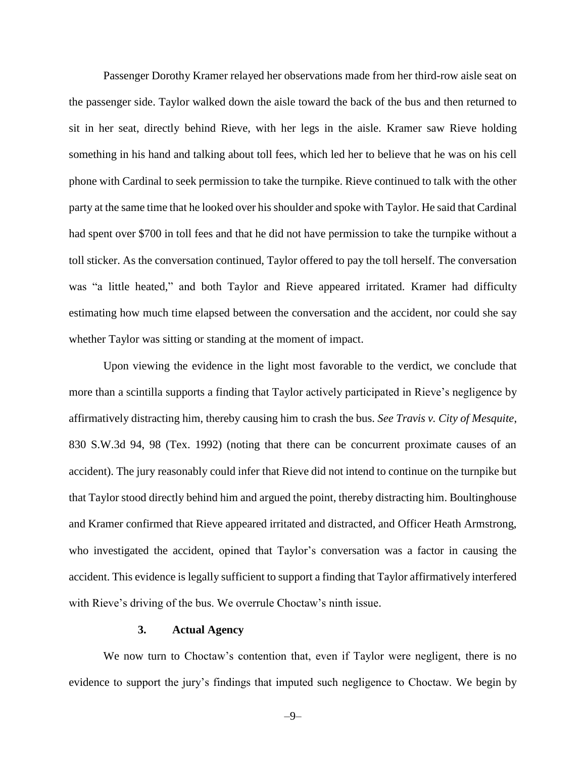Passenger Dorothy Kramer relayed her observations made from her third-row aisle seat on the passenger side. Taylor walked down the aisle toward the back of the bus and then returned to sit in her seat, directly behind Rieve, with her legs in the aisle. Kramer saw Rieve holding something in his hand and talking about toll fees, which led her to believe that he was on his cell phone with Cardinal to seek permission to take the turnpike. Rieve continued to talk with the other party at the same time that he looked over his shoulder and spoke with Taylor. He said that Cardinal had spent over \$700 in toll fees and that he did not have permission to take the turnpike without a toll sticker. As the conversation continued, Taylor offered to pay the toll herself. The conversation was "a little heated," and both Taylor and Rieve appeared irritated. Kramer had difficulty estimating how much time elapsed between the conversation and the accident, nor could she say whether Taylor was sitting or standing at the moment of impact.

Upon viewing the evidence in the light most favorable to the verdict, we conclude that more than a scintilla supports a finding that Taylor actively participated in Rieve's negligence by affirmatively distracting him, thereby causing him to crash the bus. *See Travis v. City of Mesquite*, 830 S.W.3d 94, 98 (Tex. 1992) (noting that there can be concurrent proximate causes of an accident). The jury reasonably could infer that Rieve did not intend to continue on the turnpike but that Taylor stood directly behind him and argued the point, thereby distracting him. Boultinghouse and Kramer confirmed that Rieve appeared irritated and distracted, and Officer Heath Armstrong, who investigated the accident, opined that Taylor's conversation was a factor in causing the accident. This evidence is legally sufficient to support a finding that Taylor affirmatively interfered with Rieve's driving of the bus. We overrule Choctaw's ninth issue.

#### **3. Actual Agency**

We now turn to Choctaw's contention that, even if Taylor were negligent, there is no evidence to support the jury's findings that imputed such negligence to Choctaw. We begin by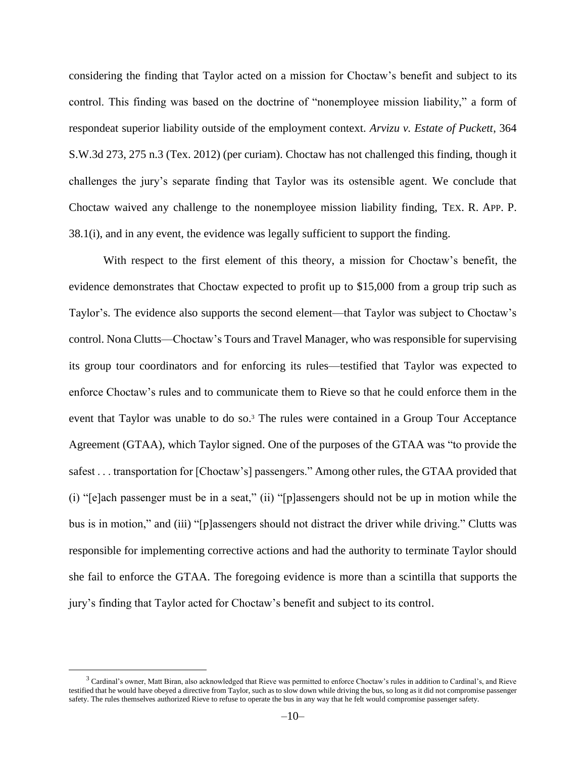considering the finding that Taylor acted on a mission for Choctaw's benefit and subject to its control. This finding was based on the doctrine of "nonemployee mission liability," a form of respondeat superior liability outside of the employment context. *Arvizu v. Estate of Puckett*, 364 S.W.3d 273, 275 n.3 (Tex. 2012) (per curiam). Choctaw has not challenged this finding, though it challenges the jury's separate finding that Taylor was its ostensible agent. We conclude that Choctaw waived any challenge to the nonemployee mission liability finding, TEX. R. APP. P. 38.1(i), and in any event, the evidence was legally sufficient to support the finding.

With respect to the first element of this theory, a mission for Choctaw's benefit, the evidence demonstrates that Choctaw expected to profit up to \$15,000 from a group trip such as Taylor's. The evidence also supports the second element—that Taylor was subject to Choctaw's control. Nona Clutts—Choctaw's Tours and Travel Manager, who was responsible for supervising its group tour coordinators and for enforcing its rules—testified that Taylor was expected to enforce Choctaw's rules and to communicate them to Rieve so that he could enforce them in the event that Taylor was unable to do so.<sup>3</sup> The rules were contained in a Group Tour Acceptance Agreement (GTAA), which Taylor signed. One of the purposes of the GTAA was "to provide the safest . . . transportation for [Choctaw's] passengers." Among other rules, the GTAA provided that (i) "[e]ach passenger must be in a seat," (ii) "[p]assengers should not be up in motion while the bus is in motion," and (iii) "[p]assengers should not distract the driver while driving." Clutts was responsible for implementing corrective actions and had the authority to terminate Taylor should she fail to enforce the GTAA. The foregoing evidence is more than a scintilla that supports the jury's finding that Taylor acted for Choctaw's benefit and subject to its control.

 $\overline{a}$ 

<sup>3</sup> Cardinal's owner, Matt Biran, also acknowledged that Rieve was permitted to enforce Choctaw's rules in addition to Cardinal's, and Rieve testified that he would have obeyed a directive from Taylor, such as to slow down while driving the bus, so long as it did not compromise passenger safety. The rules themselves authorized Rieve to refuse to operate the bus in any way that he felt would compromise passenger safety.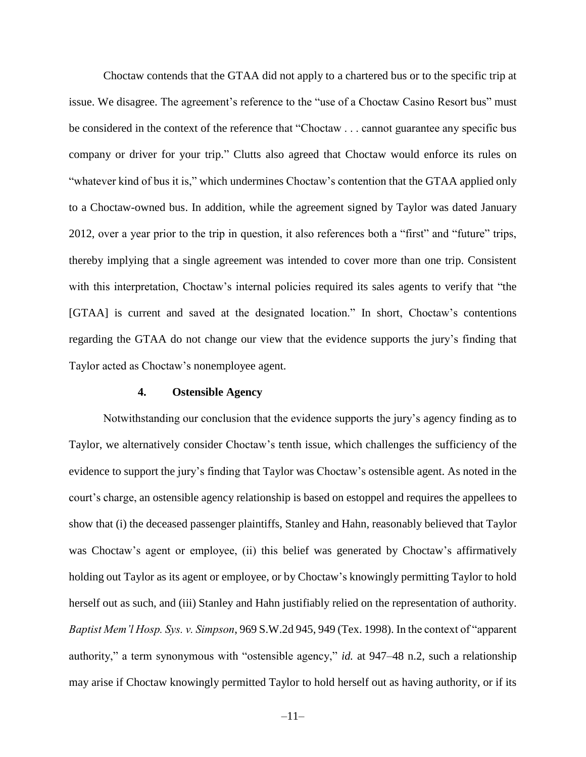Choctaw contends that the GTAA did not apply to a chartered bus or to the specific trip at issue. We disagree. The agreement's reference to the "use of a Choctaw Casino Resort bus" must be considered in the context of the reference that "Choctaw . . . cannot guarantee any specific bus company or driver for your trip." Clutts also agreed that Choctaw would enforce its rules on "whatever kind of bus it is," which undermines Choctaw's contention that the GTAA applied only to a Choctaw-owned bus. In addition, while the agreement signed by Taylor was dated January 2012, over a year prior to the trip in question, it also references both a "first" and "future" trips, thereby implying that a single agreement was intended to cover more than one trip. Consistent with this interpretation, Choctaw's internal policies required its sales agents to verify that "the [GTAA] is current and saved at the designated location." In short, Choctaw's contentions regarding the GTAA do not change our view that the evidence supports the jury's finding that Taylor acted as Choctaw's nonemployee agent.

#### **4. Ostensible Agency**

Notwithstanding our conclusion that the evidence supports the jury's agency finding as to Taylor, we alternatively consider Choctaw's tenth issue, which challenges the sufficiency of the evidence to support the jury's finding that Taylor was Choctaw's ostensible agent. As noted in the court's charge, an ostensible agency relationship is based on estoppel and requires the appellees to show that (i) the deceased passenger plaintiffs, Stanley and Hahn, reasonably believed that Taylor was Choctaw's agent or employee, (ii) this belief was generated by Choctaw's affirmatively holding out Taylor as its agent or employee, or by Choctaw's knowingly permitting Taylor to hold herself out as such, and (iii) Stanley and Hahn justifiably relied on the representation of authority. *Baptist Mem'l Hosp. Sys. v. Simpson*, 969 S.W.2d 945, 949 (Tex. 1998). In the context of "apparent authority," a term synonymous with "ostensible agency," *id.* at 947–48 n.2, such a relationship may arise if Choctaw knowingly permitted Taylor to hold herself out as having authority, or if its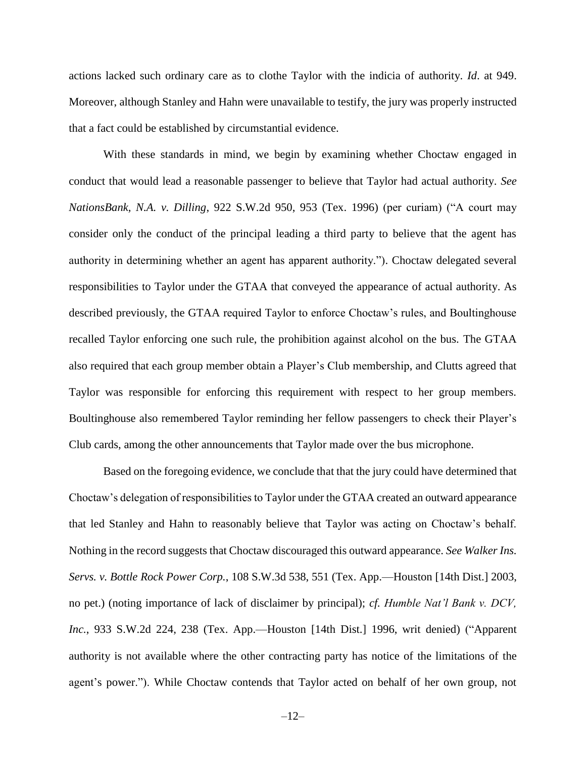actions lacked such ordinary care as to clothe Taylor with the indicia of authority. *Id*. at 949. Moreover, although Stanley and Hahn were unavailable to testify, the jury was properly instructed that a fact could be established by circumstantial evidence.

With these standards in mind, we begin by examining whether Choctaw engaged in conduct that would lead a reasonable passenger to believe that Taylor had actual authority. *See NationsBank, N.A. v. Dilling*, 922 S.W.2d 950, 953 (Tex. 1996) (per curiam) ("A court may consider only the conduct of the principal leading a third party to believe that the agent has authority in determining whether an agent has apparent authority."). Choctaw delegated several responsibilities to Taylor under the GTAA that conveyed the appearance of actual authority. As described previously, the GTAA required Taylor to enforce Choctaw's rules, and Boultinghouse recalled Taylor enforcing one such rule, the prohibition against alcohol on the bus. The GTAA also required that each group member obtain a Player's Club membership, and Clutts agreed that Taylor was responsible for enforcing this requirement with respect to her group members. Boultinghouse also remembered Taylor reminding her fellow passengers to check their Player's Club cards, among the other announcements that Taylor made over the bus microphone.

Based on the foregoing evidence, we conclude that that the jury could have determined that Choctaw's delegation of responsibilities to Taylor under the GTAA created an outward appearance that led Stanley and Hahn to reasonably believe that Taylor was acting on Choctaw's behalf. Nothing in the record suggests that Choctaw discouraged this outward appearance. *See Walker Ins. Servs. v. Bottle Rock Power Corp.*, 108 S.W.3d 538, 551 (Tex. App.—Houston [14th Dist.] 2003, no pet.) (noting importance of lack of disclaimer by principal); *cf. Humble Nat'l Bank v. DCV, Inc.*, 933 S.W.2d 224, 238 (Tex. App.—Houston [14th Dist.] 1996, writ denied) ("Apparent authority is not available where the other contracting party has notice of the limitations of the agent's power."). While Choctaw contends that Taylor acted on behalf of her own group, not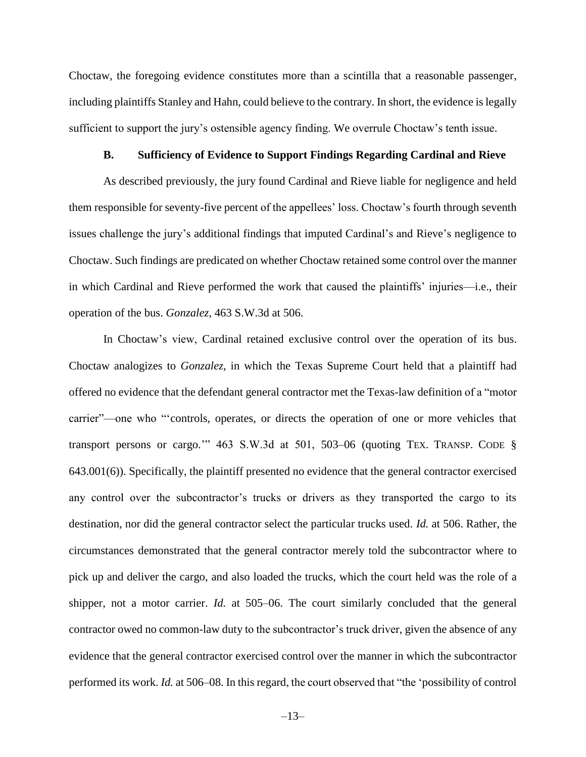Choctaw, the foregoing evidence constitutes more than a scintilla that a reasonable passenger, including plaintiffs Stanley and Hahn, could believe to the contrary. In short, the evidence is legally sufficient to support the jury's ostensible agency finding. We overrule Choctaw's tenth issue.

#### **B. Sufficiency of Evidence to Support Findings Regarding Cardinal and Rieve**

As described previously, the jury found Cardinal and Rieve liable for negligence and held them responsible for seventy-five percent of the appellees' loss. Choctaw's fourth through seventh issues challenge the jury's additional findings that imputed Cardinal's and Rieve's negligence to Choctaw. Such findings are predicated on whether Choctaw retained some control over the manner in which Cardinal and Rieve performed the work that caused the plaintiffs' injuries—i.e., their operation of the bus. *Gonzalez*, 463 S.W.3d at 506.

In Choctaw's view, Cardinal retained exclusive control over the operation of its bus. Choctaw analogizes to *Gonzalez*, in which the Texas Supreme Court held that a plaintiff had offered no evidence that the defendant general contractor met the Texas-law definition of a "motor carrier"—one who "'controls, operates, or directs the operation of one or more vehicles that transport persons or cargo.'" 463 S.W.3d at 501, 503–06 (quoting TEX. TRANSP. CODE § 643.001(6)). Specifically, the plaintiff presented no evidence that the general contractor exercised any control over the subcontractor's trucks or drivers as they transported the cargo to its destination, nor did the general contractor select the particular trucks used. *Id.* at 506. Rather, the circumstances demonstrated that the general contractor merely told the subcontractor where to pick up and deliver the cargo, and also loaded the trucks, which the court held was the role of a shipper, not a motor carrier. *Id.* at 505–06. The court similarly concluded that the general contractor owed no common-law duty to the subcontractor's truck driver, given the absence of any evidence that the general contractor exercised control over the manner in which the subcontractor performed its work. *Id.* at 506–08. In this regard, the court observed that "the 'possibility of control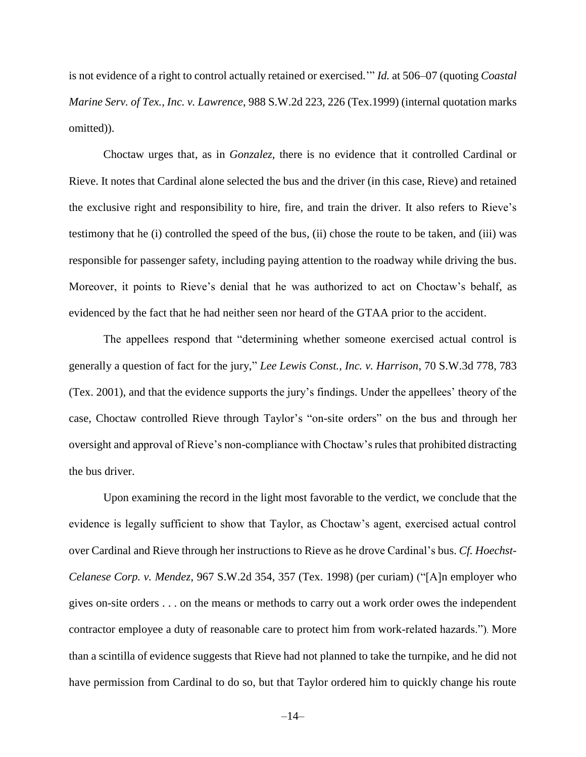is not evidence of a right to control actually retained or exercised.'" *Id.* at 506–07 (quoting *Coastal Marine Serv. of Tex., Inc. v. Lawrence*, 988 S.W.2d 223, 226 (Tex.1999) (internal quotation marks omitted)).

Choctaw urges that, as in *Gonzalez*, there is no evidence that it controlled Cardinal or Rieve. It notes that Cardinal alone selected the bus and the driver (in this case, Rieve) and retained the exclusive right and responsibility to hire, fire, and train the driver. It also refers to Rieve's testimony that he (i) controlled the speed of the bus, (ii) chose the route to be taken, and (iii) was responsible for passenger safety, including paying attention to the roadway while driving the bus. Moreover, it points to Rieve's denial that he was authorized to act on Choctaw's behalf, as evidenced by the fact that he had neither seen nor heard of the GTAA prior to the accident.

The appellees respond that "determining whether someone exercised actual control is generally a question of fact for the jury," *Lee Lewis Const., Inc. v. Harrison*, 70 S.W.3d 778, 783 (Tex. 2001), and that the evidence supports the jury's findings. Under the appellees' theory of the case, Choctaw controlled Rieve through Taylor's "on-site orders" on the bus and through her oversight and approval of Rieve's non-compliance with Choctaw's rules that prohibited distracting the bus driver.

Upon examining the record in the light most favorable to the verdict, we conclude that the evidence is legally sufficient to show that Taylor, as Choctaw's agent, exercised actual control over Cardinal and Rieve through her instructions to Rieve as he drove Cardinal's bus. *Cf. Hoechst-Celanese Corp. v. Mendez*, 967 S.W.2d 354, 357 (Tex. 1998) (per curiam) ("[A]n employer who gives on-site orders . . . on the means or methods to carry out a work order owes the independent contractor employee a duty of reasonable care to protect him from work-related hazards."). More than a scintilla of evidence suggests that Rieve had not planned to take the turnpike, and he did not have permission from Cardinal to do so, but that Taylor ordered him to quickly change his route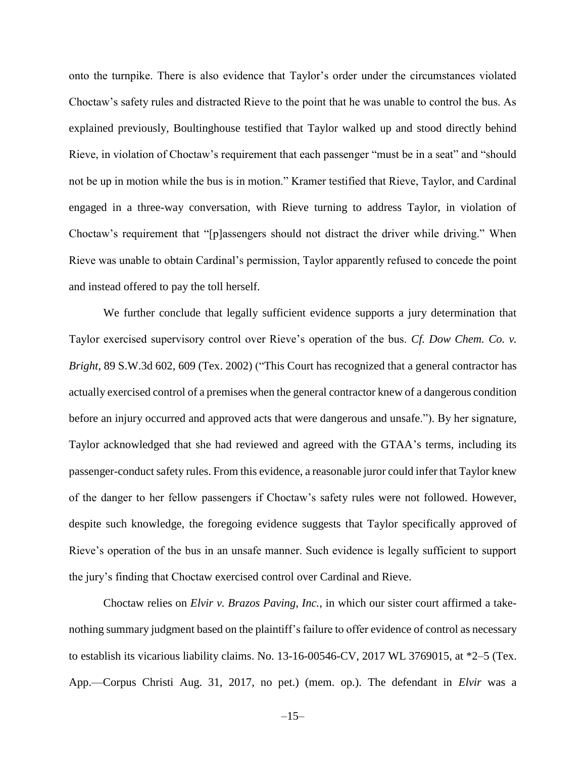onto the turnpike. There is also evidence that Taylor's order under the circumstances violated Choctaw's safety rules and distracted Rieve to the point that he was unable to control the bus. As explained previously, Boultinghouse testified that Taylor walked up and stood directly behind Rieve, in violation of Choctaw's requirement that each passenger "must be in a seat" and "should not be up in motion while the bus is in motion." Kramer testified that Rieve, Taylor, and Cardinal engaged in a three-way conversation, with Rieve turning to address Taylor, in violation of Choctaw's requirement that "[p]assengers should not distract the driver while driving." When Rieve was unable to obtain Cardinal's permission, Taylor apparently refused to concede the point and instead offered to pay the toll herself.

We further conclude that legally sufficient evidence supports a jury determination that Taylor exercised supervisory control over Rieve's operation of the bus. *Cf. Dow Chem. Co. v. Bright*, 89 S.W.3d 602, 609 (Tex. 2002) ("This Court has recognized that a general contractor has actually exercised control of a premises when the general contractor knew of a dangerous condition before an injury occurred and approved acts that were dangerous and unsafe."). By her signature, Taylor acknowledged that she had reviewed and agreed with the GTAA's terms, including its passenger-conduct safety rules. From this evidence, a reasonable juror could infer that Taylor knew of the danger to her fellow passengers if Choctaw's safety rules were not followed. However, despite such knowledge, the foregoing evidence suggests that Taylor specifically approved of Rieve's operation of the bus in an unsafe manner. Such evidence is legally sufficient to support the jury's finding that Choctaw exercised control over Cardinal and Rieve.

Choctaw relies on *Elvir v. Brazos Paving, Inc.*, in which our sister court affirmed a takenothing summary judgment based on the plaintiff's failure to offer evidence of control as necessary to establish its vicarious liability claims. No. 13-16-00546-CV, 2017 WL 3769015, at \*2–5 (Tex. App.—Corpus Christi Aug. 31, 2017, no pet.) (mem. op.). The defendant in *Elvir* was a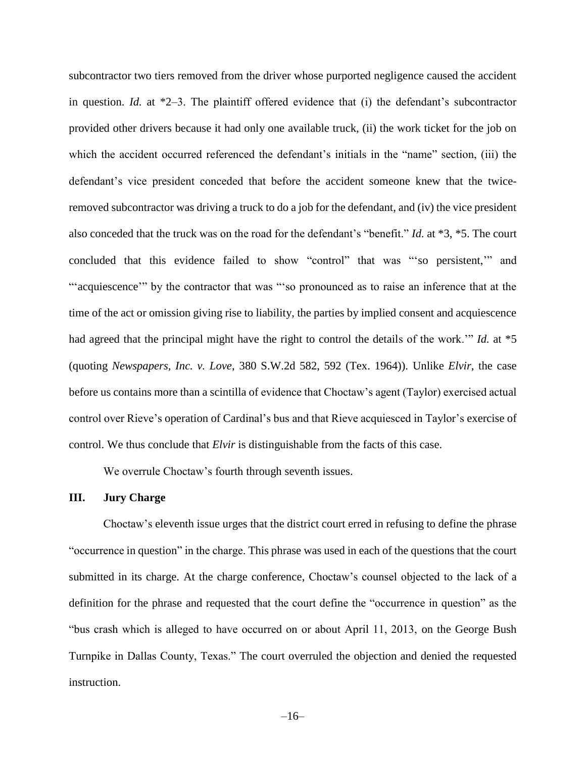subcontractor two tiers removed from the driver whose purported negligence caused the accident in question. *Id.* at \*2–3. The plaintiff offered evidence that (i) the defendant's subcontractor provided other drivers because it had only one available truck, (ii) the work ticket for the job on which the accident occurred referenced the defendant's initials in the "name" section, (iii) the defendant's vice president conceded that before the accident someone knew that the twiceremoved subcontractor was driving a truck to do a job for the defendant, and (iv) the vice president also conceded that the truck was on the road for the defendant's "benefit." *Id.* at \*3, \*5. The court concluded that this evidence failed to show "control" that was "'so persistent,'" and "'acquiescence'" by the contractor that was "'so pronounced as to raise an inference that at the time of the act or omission giving rise to liability, the parties by implied consent and acquiescence had agreed that the principal might have the right to control the details of the work.'" *Id.* at \*5 (quoting *Newspapers, Inc. v. Love*, 380 S.W.2d 582, 592 (Tex. 1964)). Unlike *Elvir*, the case before us contains more than a scintilla of evidence that Choctaw's agent (Taylor) exercised actual control over Rieve's operation of Cardinal's bus and that Rieve acquiesced in Taylor's exercise of control. We thus conclude that *Elvir* is distinguishable from the facts of this case.

We overrule Choctaw's fourth through seventh issues.

#### **III. Jury Charge**

Choctaw's eleventh issue urges that the district court erred in refusing to define the phrase "occurrence in question" in the charge. This phrase was used in each of the questions that the court submitted in its charge. At the charge conference, Choctaw's counsel objected to the lack of a definition for the phrase and requested that the court define the "occurrence in question" as the "bus crash which is alleged to have occurred on or about April 11, 2013, on the George Bush Turnpike in Dallas County, Texas." The court overruled the objection and denied the requested instruction.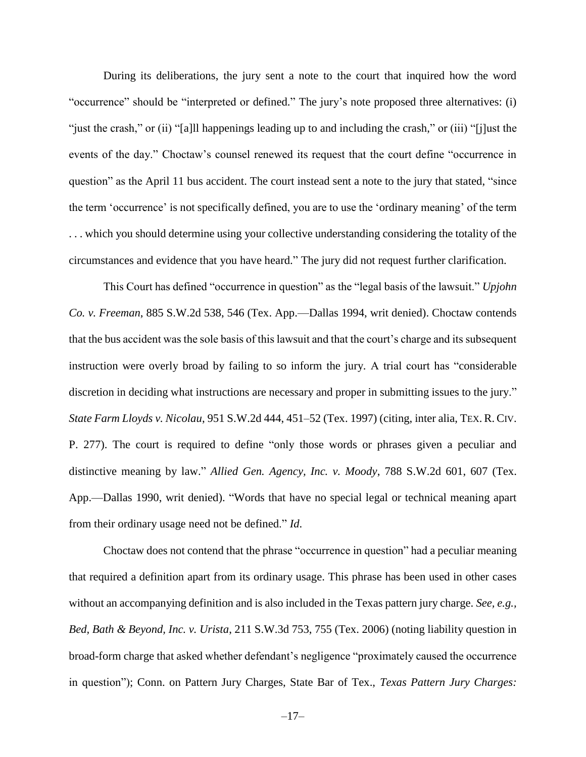During its deliberations, the jury sent a note to the court that inquired how the word "occurrence" should be "interpreted or defined." The jury's note proposed three alternatives: (i) "just the crash," or (ii) "[a]ll happenings leading up to and including the crash," or (iii) "[j]ust the events of the day." Choctaw's counsel renewed its request that the court define "occurrence in question" as the April 11 bus accident. The court instead sent a note to the jury that stated, "since the term 'occurrence' is not specifically defined, you are to use the 'ordinary meaning' of the term . . . which you should determine using your collective understanding considering the totality of the circumstances and evidence that you have heard." The jury did not request further clarification.

This Court has defined "occurrence in question" as the "legal basis of the lawsuit." *Upjohn Co. v. Freeman*, 885 S.W.2d 538, 546 (Tex. App.—Dallas 1994, writ denied). Choctaw contends that the bus accident was the sole basis of this lawsuit and that the court's charge and its subsequent instruction were overly broad by failing to so inform the jury. A trial court has "considerable discretion in deciding what instructions are necessary and proper in submitting issues to the jury." *State Farm Lloyds v. Nicolau*, 951 S.W.2d 444, 451–52 (Tex. 1997) (citing, inter alia, TEX. R. CIV. P. 277). The court is required to define "only those words or phrases given a peculiar and distinctive meaning by law." *Allied Gen. Agency, Inc. v. Moody*, 788 S.W.2d 601, 607 (Tex. App.—Dallas 1990, writ denied). "Words that have no special legal or technical meaning apart from their ordinary usage need not be defined." *Id*.

Choctaw does not contend that the phrase "occurrence in question" had a peculiar meaning that required a definition apart from its ordinary usage. This phrase has been used in other cases without an accompanying definition and is also included in the Texas pattern jury charge. *See, e.g., Bed, Bath & Beyond, Inc. v. Urista*, 211 S.W.3d 753, 755 (Tex. 2006) (noting liability question in broad-form charge that asked whether defendant's negligence "proximately caused the occurrence in question"); Conn. on Pattern Jury Charges, State Bar of Tex., *Texas Pattern Jury Charges:*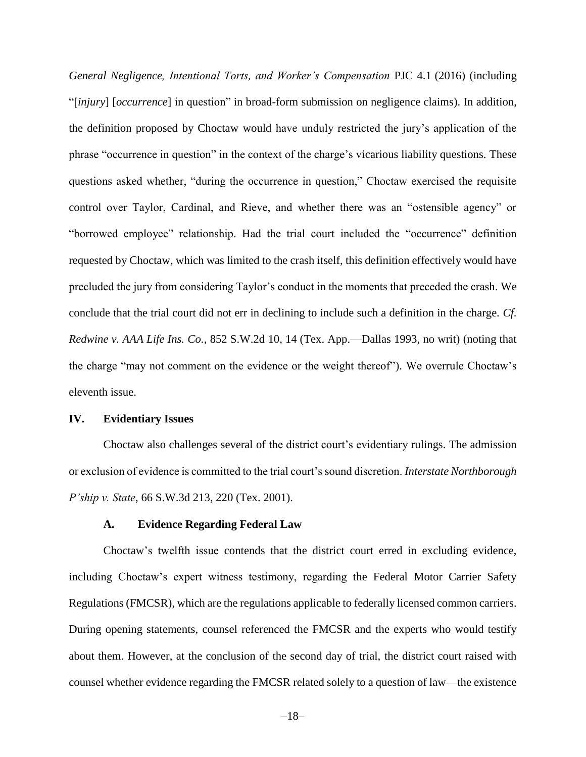*General Negligence, Intentional Torts, and Worker's Compensation* PJC 4.1 (2016) (including "[*injury*] [*occurrence*] in question" in broad-form submission on negligence claims). In addition, the definition proposed by Choctaw would have unduly restricted the jury's application of the phrase "occurrence in question" in the context of the charge's vicarious liability questions. These questions asked whether, "during the occurrence in question," Choctaw exercised the requisite control over Taylor, Cardinal, and Rieve, and whether there was an "ostensible agency" or "borrowed employee" relationship. Had the trial court included the "occurrence" definition requested by Choctaw, which was limited to the crash itself, this definition effectively would have precluded the jury from considering Taylor's conduct in the moments that preceded the crash. We conclude that the trial court did not err in declining to include such a definition in the charge. *Cf. Redwine v. AAA Life Ins. Co.*, 852 S.W.2d 10, 14 (Tex. App.—Dallas 1993, no writ) (noting that the charge "may not comment on the evidence or the weight thereof"). We overrule Choctaw's eleventh issue.

#### **IV. Evidentiary Issues**

Choctaw also challenges several of the district court's evidentiary rulings. The admission or exclusion of evidence is committed to the trial court's sound discretion. *Interstate Northborough P'ship v. State*, 66 S.W.3d 213, 220 (Tex. 2001).

#### **A. Evidence Regarding Federal Law**

Choctaw's twelfth issue contends that the district court erred in excluding evidence, including Choctaw's expert witness testimony, regarding the Federal Motor Carrier Safety Regulations (FMCSR), which are the regulations applicable to federally licensed common carriers. During opening statements, counsel referenced the FMCSR and the experts who would testify about them. However, at the conclusion of the second day of trial, the district court raised with counsel whether evidence regarding the FMCSR related solely to a question of law—the existence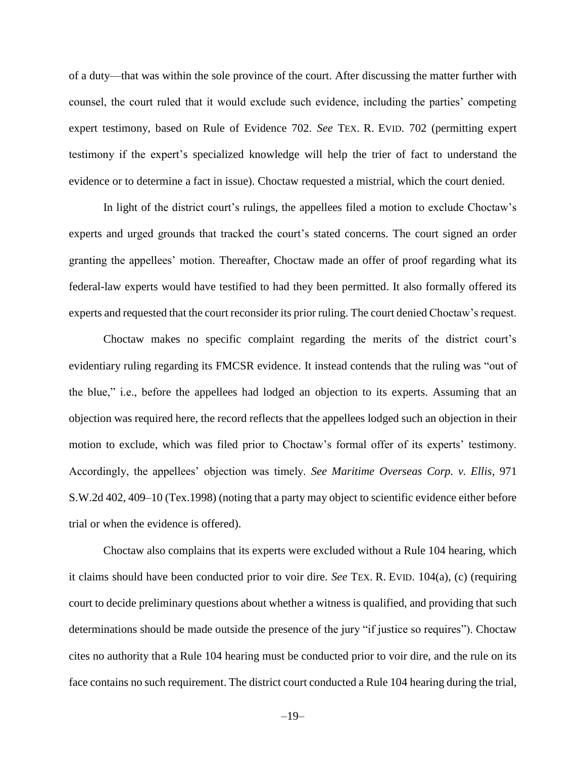of a duty—that was within the sole province of the court. After discussing the matter further with counsel, the court ruled that it would exclude such evidence, including the parties' competing expert testimony, based on Rule of Evidence 702. *See* TEX. R. EVID. 702 (permitting expert testimony if the expert's specialized knowledge will help the trier of fact to understand the evidence or to determine a fact in issue). Choctaw requested a mistrial, which the court denied.

In light of the district court's rulings, the appellees filed a motion to exclude Choctaw's experts and urged grounds that tracked the court's stated concerns. The court signed an order granting the appellees' motion. Thereafter, Choctaw made an offer of proof regarding what its federal-law experts would have testified to had they been permitted. It also formally offered its experts and requested that the court reconsider its prior ruling. The court denied Choctaw's request.

Choctaw makes no specific complaint regarding the merits of the district court's evidentiary ruling regarding its FMCSR evidence. It instead contends that the ruling was "out of the blue," i.e., before the appellees had lodged an objection to its experts. Assuming that an objection was required here, the record reflects that the appellees lodged such an objection in their motion to exclude, which was filed prior to Choctaw's formal offer of its experts' testimony. Accordingly, the appellees' objection was timely. *See Maritime Overseas Corp. v. Ellis*, 971 S.W.2d 402, 409–10 (Tex.1998) (noting that a party may object to scientific evidence either before trial or when the evidence is offered).

Choctaw also complains that its experts were excluded without a Rule 104 hearing, which it claims should have been conducted prior to voir dire. *See* TEX. R. EVID. 104(a), (c) (requiring court to decide preliminary questions about whether a witness is qualified, and providing that such determinations should be made outside the presence of the jury "if justice so requires"). Choctaw cites no authority that a Rule 104 hearing must be conducted prior to voir dire, and the rule on its face contains no such requirement. The district court conducted a Rule 104 hearing during the trial,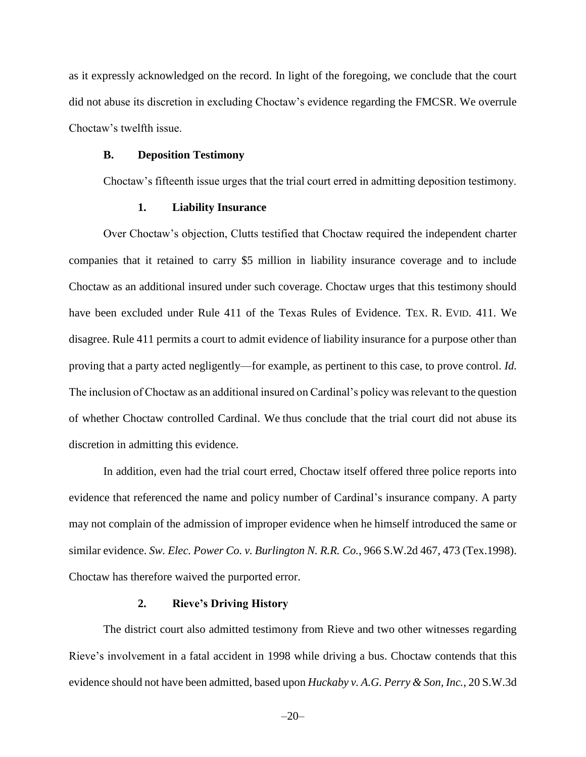as it expressly acknowledged on the record. In light of the foregoing, we conclude that the court did not abuse its discretion in excluding Choctaw's evidence regarding the FMCSR. We overrule Choctaw's twelfth issue.

#### **B. Deposition Testimony**

Choctaw's fifteenth issue urges that the trial court erred in admitting deposition testimony.

#### **1. Liability Insurance**

Over Choctaw's objection, Clutts testified that Choctaw required the independent charter companies that it retained to carry \$5 million in liability insurance coverage and to include Choctaw as an additional insured under such coverage. Choctaw urges that this testimony should have been excluded under Rule 411 of the Texas Rules of Evidence. TEX. R. EVID. 411. We disagree. Rule 411 permits a court to admit evidence of liability insurance for a purpose other than proving that a party acted negligently—for example, as pertinent to this case, to prove control. *Id.* The inclusion of Choctaw as an additional insured on Cardinal's policy was relevant to the question of whether Choctaw controlled Cardinal. We thus conclude that the trial court did not abuse its discretion in admitting this evidence.

In addition, even had the trial court erred, Choctaw itself offered three police reports into evidence that referenced the name and policy number of Cardinal's insurance company. A party may not complain of the admission of improper evidence when he himself introduced the same or similar evidence. *Sw. Elec. Power Co. v. Burlington N. R.R. Co.*, 966 S.W.2d 467, 473 (Tex.1998). Choctaw has therefore waived the purported error.

#### **2. Rieve's Driving History**

The district court also admitted testimony from Rieve and two other witnesses regarding Rieve's involvement in a fatal accident in 1998 while driving a bus. Choctaw contends that this evidence should not have been admitted, based upon *Huckaby v. A.G. Perry & Son, Inc.*, 20 S.W.3d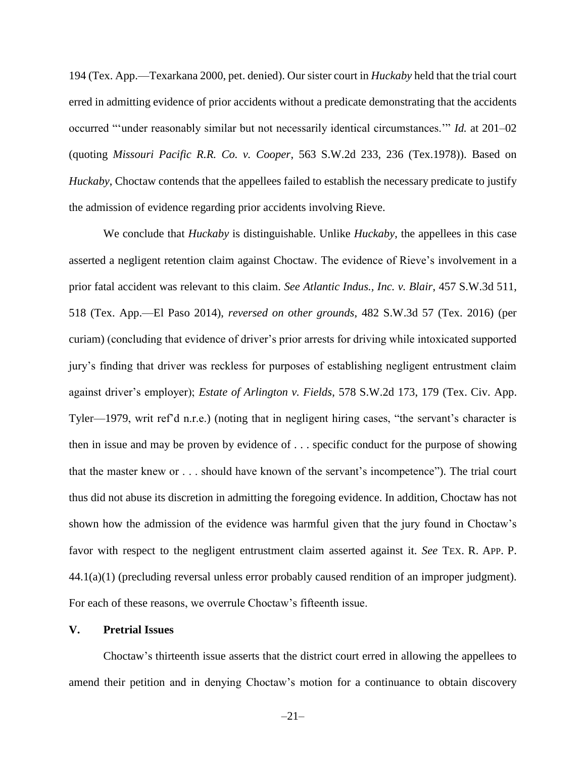194 (Tex. App.—Texarkana 2000, pet. denied). Our sister court in *Huckaby* held that the trial court erred in admitting evidence of prior accidents without a predicate demonstrating that the accidents occurred "'under reasonably similar but not necessarily identical circumstances.'" *Id.* at 201–02 (quoting *Missouri Pacific R.R. Co. v. Cooper*, 563 S.W.2d 233, 236 (Tex.1978)). Based on *Huckaby*, Choctaw contends that the appellees failed to establish the necessary predicate to justify the admission of evidence regarding prior accidents involving Rieve.

We conclude that *Huckaby* is distinguishable. Unlike *Huckaby*, the appellees in this case asserted a negligent retention claim against Choctaw. The evidence of Rieve's involvement in a prior fatal accident was relevant to this claim. *See Atlantic Indus., Inc. v. Blair*, 457 S.W.3d 511, 518 (Tex. App.—El Paso 2014), *reversed on other grounds*, 482 S.W.3d 57 (Tex. 2016) (per curiam) (concluding that evidence of driver's prior arrests for driving while intoxicated supported jury's finding that driver was reckless for purposes of establishing negligent entrustment claim against driver's employer); *Estate of Arlington v. Fields*, 578 S.W.2d 173, 179 (Tex. Civ. App. Tyler—1979, writ ref'd n.r.e.) (noting that in negligent hiring cases, "the servant's character is then in issue and may be proven by evidence of . . . specific conduct for the purpose of showing that the master knew or . . . should have known of the servant's incompetence"). The trial court thus did not abuse its discretion in admitting the foregoing evidence. In addition, Choctaw has not shown how the admission of the evidence was harmful given that the jury found in Choctaw's favor with respect to the negligent entrustment claim asserted against it. *See* TEX. R. APP. P. 44.1(a)(1) (precluding reversal unless error probably caused rendition of an improper judgment). For each of these reasons, we overrule Choctaw's fifteenth issue.

#### **V. Pretrial Issues**

Choctaw's thirteenth issue asserts that the district court erred in allowing the appellees to amend their petition and in denying Choctaw's motion for a continuance to obtain discovery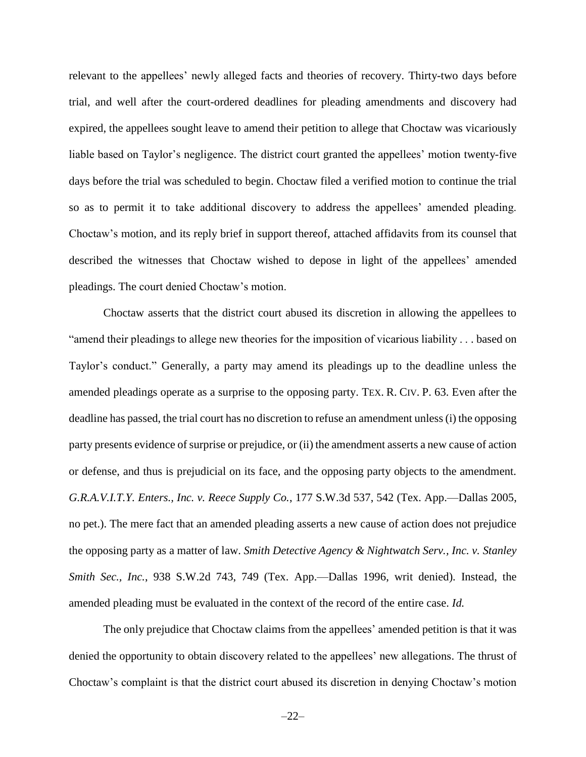relevant to the appellees' newly alleged facts and theories of recovery. Thirty-two days before trial, and well after the court-ordered deadlines for pleading amendments and discovery had expired, the appellees sought leave to amend their petition to allege that Choctaw was vicariously liable based on Taylor's negligence. The district court granted the appellees' motion twenty-five days before the trial was scheduled to begin. Choctaw filed a verified motion to continue the trial so as to permit it to take additional discovery to address the appellees' amended pleading. Choctaw's motion, and its reply brief in support thereof, attached affidavits from its counsel that described the witnesses that Choctaw wished to depose in light of the appellees' amended pleadings. The court denied Choctaw's motion.

Choctaw asserts that the district court abused its discretion in allowing the appellees to "amend their pleadings to allege new theories for the imposition of vicarious liability . . . based on Taylor's conduct." Generally, a party may amend its pleadings up to the deadline unless the amended pleadings operate as a surprise to the opposing party. TEX. R. CIV. P. 63. Even after the deadline has passed, the trial court has no discretion to refuse an amendment unless (i) the opposing party presents evidence of surprise or prejudice, or (ii) the amendment asserts a new cause of action or defense, and thus is prejudicial on its face, and the opposing party objects to the amendment. *G.R.A.V.I.T.Y. Enters., Inc. v. Reece Supply Co.*, 177 S.W.3d 537, 542 (Tex. App.—Dallas 2005, no pet.). The mere fact that an amended pleading asserts a new cause of action does not prejudice the opposing party as a matter of law. *Smith Detective Agency & Nightwatch Serv., Inc. v. Stanley Smith Sec., Inc.*, 938 S.W.2d 743, 749 (Tex. App.—Dallas 1996, writ denied). Instead, the amended pleading must be evaluated in the context of the record of the entire case. *Id.*

The only prejudice that Choctaw claims from the appellees' amended petition is that it was denied the opportunity to obtain discovery related to the appellees' new allegations. The thrust of Choctaw's complaint is that the district court abused its discretion in denying Choctaw's motion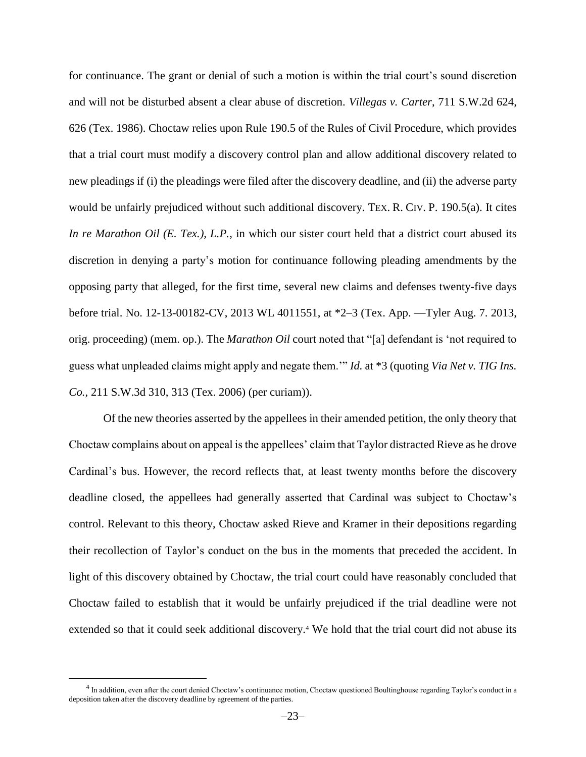for continuance. The grant or denial of such a motion is within the trial court's sound discretion and will not be disturbed absent a clear abuse of discretion. *Villegas v. Carter*, 711 S.W.2d 624, 626 (Tex. 1986). Choctaw relies upon Rule 190.5 of the Rules of Civil Procedure, which provides that a trial court must modify a discovery control plan and allow additional discovery related to new pleadings if (i) the pleadings were filed after the discovery deadline, and (ii) the adverse party would be unfairly prejudiced without such additional discovery. TEX. R. CIV. P. 190.5(a). It cites *In re Marathon Oil (E. Tex.), L.P.*, in which our sister court held that a district court abused its discretion in denying a party's motion for continuance following pleading amendments by the opposing party that alleged, for the first time, several new claims and defenses twenty-five days before trial. No. 12-13-00182-CV, 2013 WL 4011551, at \*2–3 (Tex. App. —Tyler Aug. 7. 2013, orig. proceeding) (mem. op.). The *Marathon Oil* court noted that "[a] defendant is 'not required to guess what unpleaded claims might apply and negate them.'" *Id.* at \*3 (quoting *Via Net v. TIG Ins. Co.*, 211 S.W.3d 310, 313 (Tex. 2006) (per curiam)).

Of the new theories asserted by the appellees in their amended petition, the only theory that Choctaw complains about on appeal is the appellees' claim that Taylor distracted Rieve as he drove Cardinal's bus. However, the record reflects that, at least twenty months before the discovery deadline closed, the appellees had generally asserted that Cardinal was subject to Choctaw's control. Relevant to this theory, Choctaw asked Rieve and Kramer in their depositions regarding their recollection of Taylor's conduct on the bus in the moments that preceded the accident. In light of this discovery obtained by Choctaw, the trial court could have reasonably concluded that Choctaw failed to establish that it would be unfairly prejudiced if the trial deadline were not extended so that it could seek additional discovery.<sup>4</sup> We hold that the trial court did not abuse its

 $\overline{a}$ 

 $<sup>4</sup>$  In addition, even after the court denied Choctaw's continuance motion, Choctaw questioned Boultinghouse regarding Taylor's conduct in a</sup> deposition taken after the discovery deadline by agreement of the parties.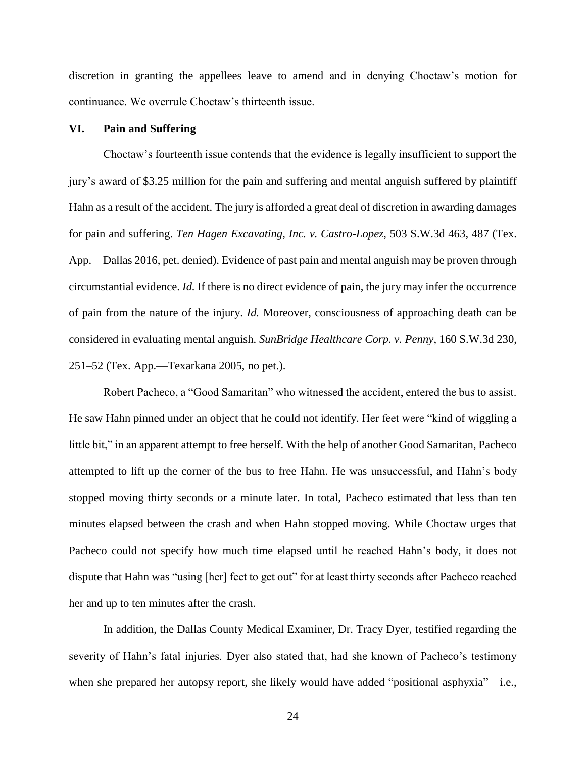discretion in granting the appellees leave to amend and in denying Choctaw's motion for continuance. We overrule Choctaw's thirteenth issue.

#### **VI. Pain and Suffering**

Choctaw's fourteenth issue contends that the evidence is legally insufficient to support the jury's award of \$3.25 million for the pain and suffering and mental anguish suffered by plaintiff Hahn as a result of the accident. The jury is afforded a great deal of discretion in awarding damages for pain and suffering. *Ten Hagen Excavating, Inc. v. Castro-Lopez*, 503 S.W.3d 463, 487 (Tex. App.—Dallas 2016, pet. denied). Evidence of past pain and mental anguish may be proven through circumstantial evidence. *Id.* If there is no direct evidence of pain, the jury may infer the occurrence of pain from the nature of the injury. *Id.* Moreover, consciousness of approaching death can be considered in evaluating mental anguish. *SunBridge Healthcare Corp. v. Penny*, 160 S.W.3d 230, 251–52 (Tex. App.—Texarkana 2005, no pet.).

Robert Pacheco, a "Good Samaritan" who witnessed the accident, entered the bus to assist. He saw Hahn pinned under an object that he could not identify. Her feet were "kind of wiggling a little bit," in an apparent attempt to free herself. With the help of another Good Samaritan, Pacheco attempted to lift up the corner of the bus to free Hahn. He was unsuccessful, and Hahn's body stopped moving thirty seconds or a minute later. In total, Pacheco estimated that less than ten minutes elapsed between the crash and when Hahn stopped moving. While Choctaw urges that Pacheco could not specify how much time elapsed until he reached Hahn's body, it does not dispute that Hahn was "using [her] feet to get out" for at least thirty seconds after Pacheco reached her and up to ten minutes after the crash.

In addition, the Dallas County Medical Examiner, Dr. Tracy Dyer, testified regarding the severity of Hahn's fatal injuries. Dyer also stated that, had she known of Pacheco's testimony when she prepared her autopsy report, she likely would have added "positional asphyxia"—i.e.,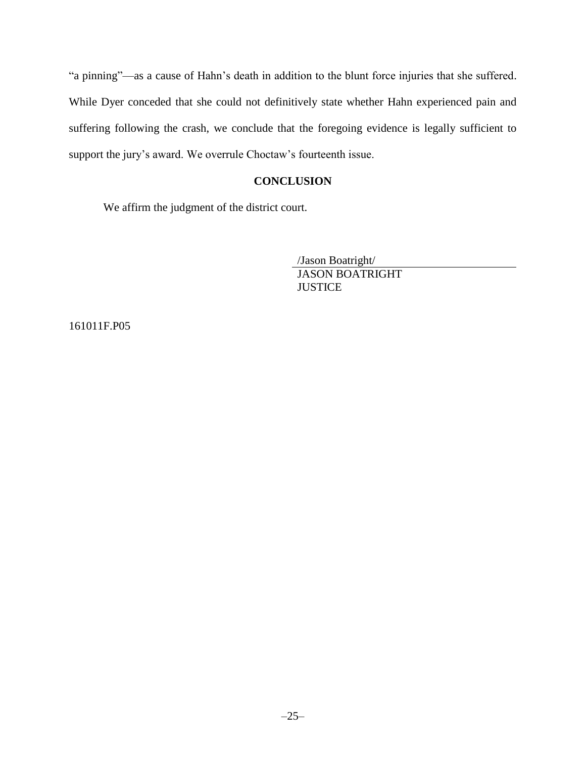"a pinning"—as a cause of Hahn's death in addition to the blunt force injuries that she suffered. While Dyer conceded that she could not definitively state whether Hahn experienced pain and suffering following the crash, we conclude that the foregoing evidence is legally sufficient to support the jury's award. We overrule Choctaw's fourteenth issue.

## **CONCLUSION**

We affirm the judgment of the district court.

/Jason Boatright/ JASON BOATRIGHT **JUSTICE** 

161011F.P05